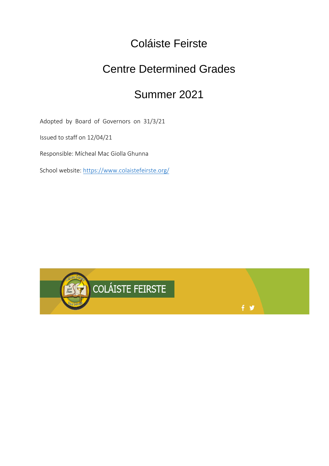# Coláiste Feirste

# Centre Determined Grades

# Summer 2021

 $f \times$ 

Adopted by Board of Governors on 31/3/21

Issued to staff on 12/04/21

Responsible: Mícheal Mac Giolla Ghunna

School website:<https://www.colaistefeirste.org/>

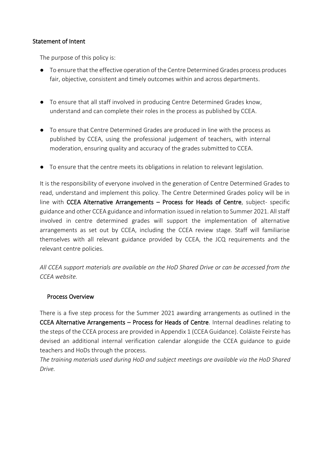# Statement of Intent

The purpose of this policy is:

- To ensure that the effective operation of the Centre Determined Grades process produces fair, objective, consistent and timely outcomes within and across departments.
- To ensure that all staff involved in producing Centre Determined Grades know, understand and can complete their roles in the process as published by CCEA.
- To ensure that Centre Determined Grades are produced in line with the process as published by CCEA, using the professional judgement of teachers, with internal moderation, ensuring quality and accuracy of the grades submitted to CCEA.
- To ensure that the centre meets its obligations in relation to relevant legislation.

It is the responsibility of everyone involved in the generation of Centre Determined Grades to read, understand and implement this policy. The Centre Determined Grades policy will be in line with CCEA Alternative Arrangements – Process for Heads of Centre, subject- specific guidance and other CCEA guidance and information issued in relation to Summer 2021. All staff involved in centre determined grades will support the implementation of alternative arrangements as set out by CCEA, including the CCEA review stage. Staff will familiarise themselves with all relevant guidance provided by CCEA, the JCQ requirements and the relevant centre policies.

*All CCEA support materials are available on the HoD Shared Drive or can be accessed from the CCEA website.*

# Process Overview

There is a five step process for the Summer 2021 awarding arrangements as outlined in the CCEA Alternative Arrangements – Process for Heads of Centre. Internal deadlines relating to the steps of the CCEA process are provided in Appendix 1 (CCEA Guidance). Coláiste Feirste has devised an additional internal verification calendar alongside the CCEA guidance to guide teachers and HoDs through the process.

*The training materials used during HoD and subject meetings are available via the HoD Shared Drive.*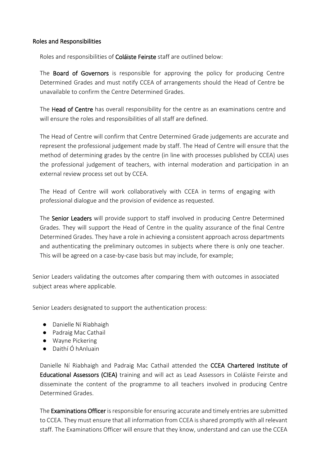# Roles and Responsibilities

Roles and responsibilities of Coláiste Feirste staff are outlined below:

The **Board of Governors** is responsible for approving the policy for producing Centre Determined Grades and must notify CCEA of arrangements should the Head of Centre be unavailable to confirm the Centre Determined Grades.

The Head of Centre has overall responsibility for the centre as an examinations centre and will ensure the roles and responsibilities of all staff are defined.

The Head of Centre will confirm that Centre Determined Grade judgements are accurate and represent the professional judgement made by staff. The Head of Centre will ensure that the method of determining grades by the centre (in line with processes published by CCEA) uses the professional judgement of teachers, with internal moderation and participation in an external review process set out by CCEA.

The Head of Centre will work collaboratively with CCEA in terms of engaging with professional dialogue and the provision of evidence as requested.

The Senior Leaders will provide support to staff involved in producing Centre Determined Grades. They will support the Head of Centre in the quality assurance of the final Centre Determined Grades. They have a role in achieving a consistent approach across departments and authenticating the preliminary outcomes in subjects where there is only one teacher. This will be agreed on a case-by-case basis but may include, for example;

Senior Leaders validating the outcomes after comparing them with outcomes in associated subject areas where applicable.

Senior Leaders designated to support the authentication process:

- Danielle Ní Riabhaigh
- Padraig Mac Cathail
- Wayne Pickering
- Daithí Ó hAnluain

Danielle Ní Riabhaigh and Padraig Mac Cathail attended the CCEA Chartered Institute of Educational Assessors (CIEA) training and will act as Lead Assessors in Coláiste Feirste and disseminate the content of the programme to all teachers involved in producing Centre Determined Grades.

The Examinations Officer is responsible for ensuring accurate and timely entries are submitted to CCEA. They must ensure that all information from CCEA is shared promptly with all relevant staff. The Examinations Officer will ensure that they know, understand and can use the CCEA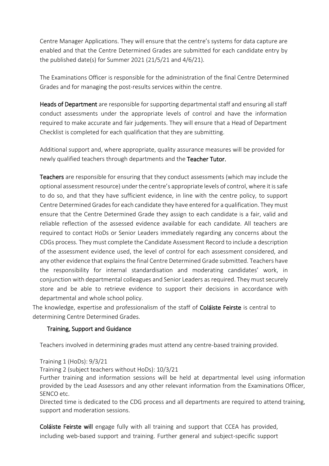Centre Manager Applications. They will ensure that the centre's systems for data capture are enabled and that the Centre Determined Grades are submitted for each candidate entry by the published date(s) for Summer 2021 (21/5/21 and 4/6/21).

The Examinations Officer is responsible for the administration of the final Centre Determined Grades and for managing the post-results services within the centre.

Heads of Department are responsible for supporting departmental staff and ensuring all staff conduct assessments under the appropriate levels of control and have the information required to make accurate and fair judgements. They will ensure that a Head of Department Checklist is completed for each qualification that they are submitting.

Additional support and, where appropriate, quality assurance measures will be provided for newly qualified teachers through departments and the Teacher Tutor.

Teachers are responsible for ensuring that they conduct assessments (which may include the optional assessment resource) under the centre's appropriate levels of control, where it is safe to do so, and that they have sufficient evidence, in line with the centre policy, to support Centre Determined Grades for each candidate they have entered for a qualification. They must ensure that the Centre Determined Grade they assign to each candidate is a fair, valid and reliable reflection of the assessed evidence available for each candidate. All teachers are required to contact HoDs or Senior Leaders immediately regarding any concerns about the CDGs process. They must complete the Candidate Assessment Record to include a description of the assessment evidence used, the level of control for each assessment considered, and any other evidence that explains the final Centre Determined Grade submitted. Teachers have the responsibility for internal standardisation and moderating candidates' work, in conjunction with departmental colleagues and Senior Leaders as required. They must securely store and be able to retrieve evidence to support their decisions in accordance with departmental and whole school policy.

The knowledge, expertise and professionalism of the staff of **Coláiste Feirste** is central to determining Centre Determined Grades.

# Training, Support and Guidance

Teachers involved in determining grades must attend any centre-based training provided.

Training 1 (HoDs): 9/3/21

Training 2 (subject teachers without HoDs): 10/3/21

Further training and information sessions will be held at departmental level using information provided by the Lead Assessors and any other relevant information from the Examinations Officer, SENCO etc.

Directed time is dedicated to the CDG process and all departments are required to attend training, support and moderation sessions.

Coláiste Feirste will engage fully with all training and support that CCEA has provided, including web-based support and training. Further general and subject-specific support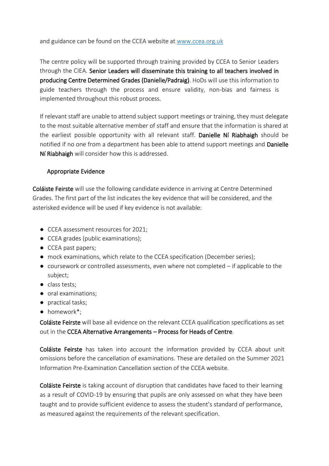and guidance can be found on the CCEA website at [www.ccea.org.uk](http://www.ccea.org.uk/)

The centre policy will be supported through training provided by CCEA to Senior Leaders through the CIEA. Senior Leaders will disseminate this training to all teachers involved in producing Centre Determined Grades (Danielle/Padraig). HoDs will use this information to guide teachers through the process and ensure validity, non-bias and fairness is implemented throughout this robust process.

If relevant staff are unable to attend subject support meetings or training, they must delegate to the most suitable alternative member of staff and ensure that the information is shared at the earliest possible opportunity with all relevant staff. Danielle Ní Riabhaigh should be notified if no one from a department has been able to attend support meetings and Danielle Ní Riabhaigh will consider how this is addressed.

#### Appropriate Evidence

Coláiste Feirste will use the following candidate evidence in arriving at Centre Determined Grades. The first part of the list indicates the key evidence that will be considered, and the asterisked evidence will be used if key evidence is not available:

- CCEA assessment resources for 2021;
- CCEA grades (public examinations);
- CCEA past papers;
- mock examinations, which relate to the CCEA specification (December series);
- $\bullet$  coursework or controlled assessments, even where not completed  $-$  if applicable to the subject;
- class tests;
- oral examinations;
- practical tasks;
- homework\*;

Coláiste Feirste will base all evidence on the relevant CCEA qualification specifications as set out in the CCEA Alternative Arrangements – Process for Heads of Centre.

Coláiste Feirste has taken into account the information provided by CCEA about unit omissions before the cancellation of examinations. These are detailed on the Summer 2021 Information Pre-Examination Cancellation section of the CCEA website.

Coláiste Feirste is taking account of disruption that candidates have faced to their learning as a result of COVID-19 by ensuring that pupils are only assessed on what they have been taught and to provide sufficient evidence to assess the student's standard of performance, as measured against the requirements of the relevant specification.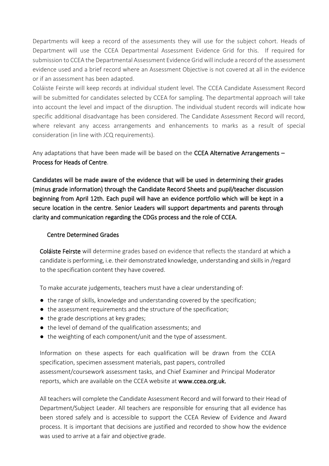Departments will keep a record of the assessments they will use for the subject cohort. Heads of Department will use the CCEA Departmental Assessment Evidence Grid for this. If required for submission to CCEA the Departmental Assessment Evidence Grid will include a record of the assessment evidence used and a brief record where an Assessment Objective is not covered at all in the evidence or if an assessment has been adapted.

Coláiste Feirste will keep records at individual student level. The CCEA Candidate Assessment Record will be submitted for candidates selected by CCEA for sampling. The departmental approach will take into account the level and impact of the disruption. The individual student records will indicate how specific additional disadvantage has been considered. The Candidate Assessment Record will record, where relevant any access arrangements and enhancements to marks as a result of special consideration (in line with JCQ requirements).

Any adaptations that have been made will be based on the CCEA Alternative Arrangements -Process for Heads of Centre.

Candidates will be made aware of the evidence that will be used in determining their grades (minus grade information) through the Candidate Record Sheets and pupil/teacher discussion beginning from April 12th. Each pupil will have an evidence portfolio which will be kept in a secure location in the centre. Senior Leaders will support departments and parents through clarity and communication regarding the CDGs process and the role of CCEA.

# Centre Determined Grades

Coláiste Feirste will determine grades based on evidence that reflects the standard at which a candidate is performing, i.e. their demonstrated knowledge, understanding and skills in /regard to the specification content they have covered.

To make accurate judgements, teachers must have a clear understanding of:

- the range of skills, knowledge and understanding covered by the specification;
- the assessment requirements and the structure of the specification;
- the grade descriptions at key grades;
- the level of demand of the qualification assessments; and
- the weighting of each component/unit and the type of assessment.

Information on these aspects for each qualification will be drawn from the CCEA specification, specimen assessment materials, past papers, controlled assessment/coursework assessment tasks, and Chief Examiner and Principal Moderator reports, which are available on the CCEA website at [www.ccea.org.uk.](http://www.ccea.org.uk/)

All teachers will complete the Candidate Assessment Record and will forward to their Head of Department/Subject Leader. All teachers are responsible for ensuring that all evidence has been stored safely and is accessible to support the CCEA Review of Evidence and Award process. It is important that decisions are justified and recorded to show how the evidence was used to arrive at a fair and objective grade.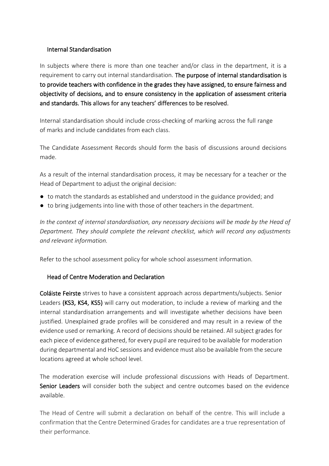# Internal Standardisation

In subjects where there is more than one teacher and/or class in the department, it is a requirement to carry out internal standardisation. The purpose of internal standardisation is to provide teachers with confidence in the grades they have assigned, to ensure fairness and objectivity of decisions, and to ensure consistency in the application of assessment criteria and standards. This allows for any teachers' differences to be resolved.

Internal standardisation should include cross-checking of marking across the full range of marks and include candidates from each class.

The Candidate Assessment Records should form the basis of discussions around decisions made.

As a result of the internal standardisation process, it may be necessary for a teacher or the Head of Department to adjust the original decision:

- to match the standards as established and understood in the guidance provided; and
- to bring judgements into line with those of other teachers in the department.

*In the context of internal standardisation, any necessary decisions will be made by the Head of Department. They should complete the relevant checklist, which will record any adjustments and relevant information.*

Refer to the school assessment policy for whole school assessment information.

# Head of Centre Moderation and Declaration

Coláiste Feirste strives to have a consistent approach across departments/subjects. Senior Leaders (KS3, KS4, KS5) will carry out moderation, to include a review of marking and the internal standardisation arrangements and will investigate whether decisions have been justified. Unexplained grade profiles will be considered and may result in a review of the evidence used or remarking. A record of decisions should be retained. All subject grades for each piece of evidence gathered, for every pupil are required to be available for moderation during departmental and HoC sessions and evidence must also be available from the secure locations agreed at whole school level.

The moderation exercise will include professional discussions with Heads of Department. Senior Leaders will consider both the subject and centre outcomes based on the evidence available.

The Head of Centre will submit a declaration on behalf of the centre. This will include a confirmation that the Centre Determined Grades for candidates are a true representation of their performance.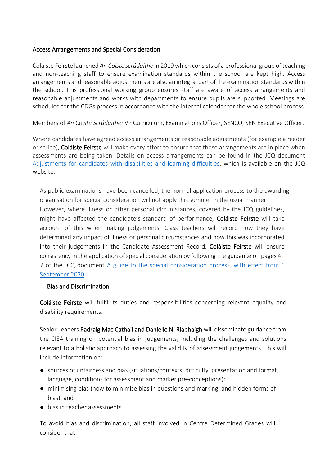# Access Arrangements and Special Consideration

Coláiste Feirste launched *An Coiste scrúdaithe* in 2019 which consists of a professional group of teaching and non-teaching staff to ensure examination standards within the school are kept high. Access arrangements and reasonable adjustments are also an integral part of the examination standards within the school. This professional working group ensures staff are aware of access arrangements and reasonable adjustments and works with departments to ensure pupils are supported. Meetings are scheduled for the CDGs process in accordance with the internal calendar for the whole school process.

Members of *An Coiste Scrúdaithe:* VP Curriculum, Examinations Officer, SENCO, SEN Executive Officer.

Where candidates have agreed access arrangements or reasonable adjustments (for example a reader or scribe), Coláiste Feirste will make every effort to ensure that these arrangements are in place when assessments are being taken. Details on access arrangements can be found in the JCQ document [Adjustments for candidates with](https://www.jcq.org.uk/wp-content/uploads/2020/08/AA-regs-2020-2021-version-for-website.pdf) [disabilities and learning difficulties,](https://www.jcq.org.uk/wp-content/uploads/2020/08/AA-regs-2020-2021-version-for-website.pdf) which is available on the JCQ website.

As public examinations have been cancelled, the normal application process to the awarding organisation for special consideration will not apply this summer in the usual manner.

However, where illness or other personal circumstances, covered by the JCQ guidelines, might have affected the candidate's standard of performance, **Coláiste Feirste** will take account of this when making judgements. Class teachers will record how they have determined any impact of illness or personal circumstances and how this was incorporated into their judgements in the Candidate Assessment Record. Coláiste Feirste will ensure consistency in the application of special consideration by following the guidance on pages 4– 7 of the JCQ document [A guide to the special consideration process, with effect](https://www.jcq.org.uk/wp-content/uploads/2020/08/A-guide-to-the-spec-con-process-202021-Website-version.pdf) [from 1](https://www.jcq.org.uk/wp-content/uploads/2020/08/A-guide-to-the-spec-con-process-202021-Website-version.pdf)  [September 2020.](https://www.jcq.org.uk/wp-content/uploads/2020/08/A-guide-to-the-spec-con-process-202021-Website-version.pdf)

# Bias and Discrimination

Coláiste Feirste will fulfil its duties and responsibilities concerning relevant equality and disability requirements.

Senior Leaders Padraig Mac Cathail and Danielle Ní Riabhaigh will disseminate guidance from the CIEA training on potential bias in judgements, including the challenges and solutions relevant to a holistic approach to assessing the validity of assessment judgements. This will include information on:

- sources of unfairness and bias (situations/contexts, difficulty, presentation and format, language, conditions for assessment and marker pre-conceptions);
- minimising bias (how to minimise bias in questions and marking, and hidden forms of bias); and
- bias in teacher assessments.

To avoid bias and discrimination, all staff involved in Centre Determined Grades will consider that: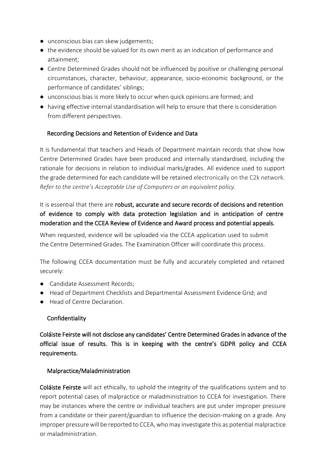- unconscious bias can skew judgements;
- the evidence should be valued for its own merit as an indication of performance and attainment;
- Centre Determined Grades should not be influenced by positive or challenging personal circumstances, character, behaviour, appearance, socio-economic background, or the performance of candidates' siblings;
- unconscious bias is more likely to occur when quick opinions are formed; and
- having effective internal standardisation will help to ensure that there is consideration from different perspectives.

# Recording Decisions and Retention of Evidence and Data

It is fundamental that teachers and Heads of Department maintain records that show how Centre Determined Grades have been produced and internally standardised, including the rationale for decisions in relation to individual marks/grades. All evidence used to support the grade determined for each candidate will be retained electronically on the C2k network. *Refer to the centre's Acceptable Use of Computers or an equivalent policy.*

# It is essential that there are robust, accurate and secure records of decisions and retention of evidence to comply with data protection legislation and in anticipation of centre moderation and the CCEA Review of Evidence and Award process and potential appeals.

When requested, evidence will be uploaded via the CCEA application used to submit the Centre Determined Grades. The Examination Officer will coordinate this process.

The following CCEA documentation must be fully and accurately completed and retained securely:

- Candidate Assessment Records;
- Head of Department Checklists and Departmental Assessment Evidence Grid; and
- Head of Centre Declaration.

# Confidentiality

Coláiste Feirste will not disclose any candidates' Centre Determined Grades in advance of the official issue of results. This is in keeping with the centre's GDPR policy and CCEA requirements.

# Malpractice/Maladministration

Coláiste Feirste will act ethically, to uphold the integrity of the qualifications system and to report potential cases of malpractice or maladministration to CCEA for investigation. There may be instances where the centre or individual teachers are put under improper pressure from a candidate or their parent/guardian to influence the decision-making on a grade. Any improper pressure will be reported to CCEA, who may investigate this as potential malpractice or maladministration.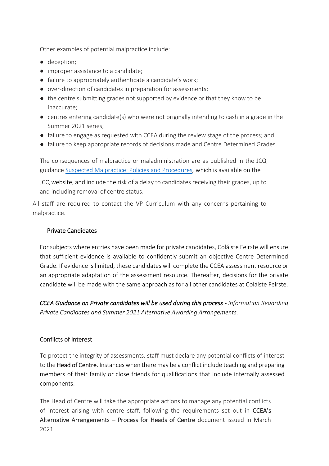Other examples of potential malpractice include:

- deception;
- improper assistance to a candidate;
- failure to appropriately authenticate a candidate's work;
- over-direction of candidates in preparation for assessments;
- the centre submitting grades not supported by evidence or that they know to be inaccurate;
- centres entering candidate(s) who were not originally intending to cash in a grade in the Summer 2021 series;
- failure to engage as requested with CCEA during the review stage of the process; and
- failure to keep appropriate records of decisions made and Centre Determined Grades.

The consequences of malpractice or maladministration are as published in the JCQ guidance [Suspected Malpractice: Policies and Procedures](https://www.jcq.org.uk/wp-content/uploads/2020/09/Malpractice_20-21_v2-1.pdf)*,* which is available on the

JCQ website, and include the risk of a delay to candidates receiving their grades, up to and including removal of centre status.

All staff are required to contact the VP Curriculum with any concerns pertaining to malpractice.

# Private Candidates

For subjects where entries have been made for private candidates, Coláiste Feirste will ensure that sufficient evidence is available to confidently submit an objective Centre Determined Grade. If evidence is limited, these candidates will complete the CCEA assessment resource or an appropriate adaptation of the assessment resource. Thereafter, decisions for the private candidate will be made with the same approach as for all other candidates at Coláiste Feirste.

*CCEA Guidance on Private candidates will be used during this process - Information Regarding Private Candidates and Summer 2021 Alternative Awarding Arrangements.*

# Conflicts of Interest

To protect the integrity of assessments, staff must declare any potential conflicts of interest to the **Head of Centre**. Instances when there may be a conflict include teaching and preparing members of their family or close friends for qualifications that include internally assessed components.

The Head of Centre will take the appropriate actions to manage any potential conflicts of interest arising with centre staff, following the requirements set out in CCEA's Alternative Arrangements – Process for Heads of Centre document issued in March 2021.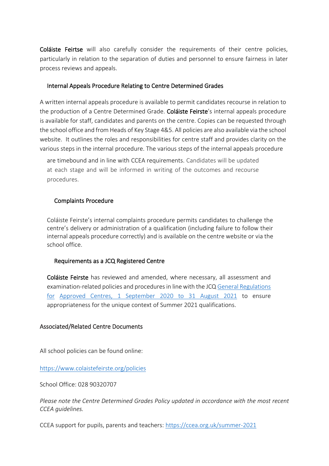Coláiste Feirtse will also carefully consider the requirements of their centre policies, particularly in relation to the separation of duties and personnel to ensure fairness in later process reviews and appeals.

#### Internal Appeals Procedure Relating to Centre Determined Grades

A written internal appeals procedure is available to permit candidates recourse in relation to the production of a Centre Determined Grade. Coláiste Feirste's internal appeals procedure is available for staff, candidates and parents on the centre. Copies can be requested through the school office and from Heads of Key Stage 4&5. All policies are also available via the school website. It outlines the roles and responsibilities for centre staff and provides clarity on the various steps in the internal procedure. The various steps of the internal appeals procedure

are timebound and in line with CCEA requirements. Candidates will be updated at each stage and will be informed in writing of the outcomes and recourse procedures.

#### Complaints Procedure

Coláiste Feirste's internal complaints procedure permits candidates to challenge the centre's delivery or administration of a qualification (including failure to follow their internal appeals procedure correctly) and is available on the centre website or via the school office.

#### Requirements as a JCQ Registered Centre

Coláiste Feirste has reviewed and amended, where necessary, all assessment and examination-related policies and procedures in line with the JCQ [General Regulations](https://www.jcq.org.uk/wp-content/uploads/2020/09/Gen_regs_approved_centres_20-21_FINAL.pdf)  [for](https://www.jcq.org.uk/wp-content/uploads/2020/09/Gen_regs_approved_centres_20-21_FINAL.pdf) [Approved Centres, 1 September 2020 to 31 August 2021](https://www.jcq.org.uk/wp-content/uploads/2020/09/Gen_regs_approved_centres_20-21_FINAL.pdf) [t](https://www.jcq.org.uk/wp-content/uploads/2020/09/Gen_regs_approved_centres_20-21_FINAL.pdf)o ensure appropriateness for the unique context of Summer 2021 qualifications.

#### Associated/Related Centre Documents

All school policies can be found online:

<https://www.colaistefeirste.org/policies>

School Office: 028 90320707

*Please note the Centre Determined Grades Policy updated in accordance with the most recent CCEA guidelines.* 

CCEA support for pupils, parents and teachers:<https://ccea.org.uk/summer-2021>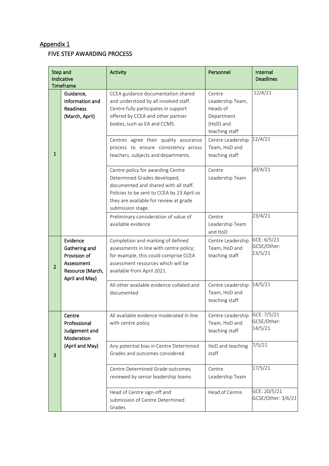# Appendix 1

# FIVE STEP AWARDING PROCESS

| Step and<br>Indicative<br><b>Timeframe</b> |                                                                                               | Activity                                                                                                                                                                                                                | Personnel                                                                           | Internal<br><b>Deadlines</b>          |
|--------------------------------------------|-----------------------------------------------------------------------------------------------|-------------------------------------------------------------------------------------------------------------------------------------------------------------------------------------------------------------------------|-------------------------------------------------------------------------------------|---------------------------------------|
|                                            | Guidance,<br>Information and<br><b>Readiness</b><br>(March, April)                            | CCEA guidance documentation shared<br>and understood by all involved staff.<br>Centre fully participates in support<br>offered by CCEA and other partner<br>bodies, such as EA and CCMS.                                | Centre<br>Leadership Team,<br>Heads of<br>Department<br>(HoD) and<br>teaching staff | 12/4/21                               |
| $\mathbf 1$                                |                                                                                               | Centres agree their quality assurance<br>process to ensure consistency across<br>teachers, subjects and departments.                                                                                                    | Centre Leadership<br>Team, HoD and<br>teaching staff                                | 12/4/21                               |
|                                            |                                                                                               | Centre policy for awarding Centre<br>Determined Grades developed,<br>documented and shared with all staff.<br>Policies to be sent to CCEA by 23 April so<br>they are available for review at grade<br>submission stage. | Centre<br>Leadership Team                                                           | 20/4/21                               |
|                                            |                                                                                               | Preliminary consideration of value of<br>available evidence                                                                                                                                                             | Centre<br>Leadership Team<br>and HoD                                                | 23/4/21                               |
| $\overline{2}$                             | Evidence<br>Gathering and<br>Provision of<br>Assessment<br>Resource (March,<br>April and May) | Completion and marking of defined<br>assessments in line with centre policy;<br>for example, this could comprise CCEA<br>assessment resources which will be<br>available from April 2021.                               | Centre Leadership<br>Team, HoD and<br>teaching staff                                | GCE: 6/5/21<br>GCSE/Other:<br>13/5/21 |
|                                            |                                                                                               | All other available evidence collated and<br>documented                                                                                                                                                                 | Centre Leadership<br>Team, HoD and<br>teaching staff                                | 14/5/21                               |
|                                            | Centre<br>Professional<br>Judgement and<br>Moderation                                         | All available evidence moderated in line<br>with centre policy                                                                                                                                                          | Centre Leadership<br>Team, HoD and<br>teaching staff                                | GCE: 7/5/21<br>GCSE/Other:<br>14/5/21 |
| 3                                          | (April and May)                                                                               | Any potential bias in Centre Determined<br>Grades and outcomes considered                                                                                                                                               | HoD and teaching<br>staff                                                           | 7/5/21                                |
|                                            |                                                                                               | Centre Determined Grade outcomes<br>reviewed by senior leadership teams                                                                                                                                                 | Centre<br>Leadership Team                                                           | 17/5/21                               |
|                                            |                                                                                               | Head of Centre sign-off and<br>submission of Centre Determined<br>Grades                                                                                                                                                | Head of Centre                                                                      | GCE: 20/5/21<br>GCSE/Other: 3/6/21    |